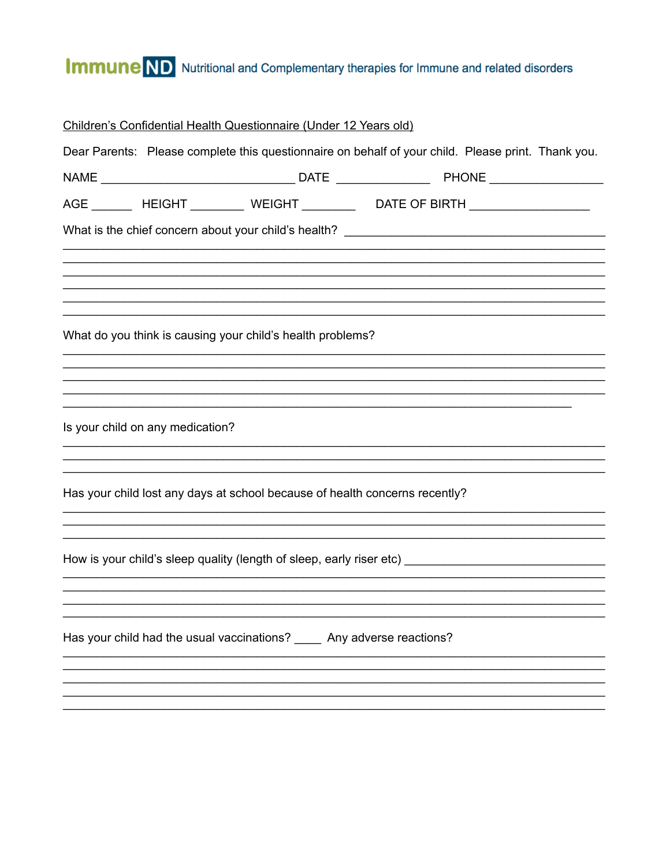## **Immune** ND Nutritional and Complementary therapies for Immune and related disorders

|                                  | Children's Confidential Health Questionnaire (Under 12 Years old)           |                                                                                                    |  |
|----------------------------------|-----------------------------------------------------------------------------|----------------------------------------------------------------------------------------------------|--|
|                                  |                                                                             | Dear Parents: Please complete this questionnaire on behalf of your child. Please print. Thank you. |  |
|                                  |                                                                             |                                                                                                    |  |
|                                  |                                                                             | AGE ________ HEIGHT ____________ WEIGHT ___________  DATE OF BIRTH ____________________            |  |
|                                  |                                                                             |                                                                                                    |  |
|                                  |                                                                             |                                                                                                    |  |
|                                  |                                                                             |                                                                                                    |  |
|                                  | What do you think is causing your child's health problems?                  |                                                                                                    |  |
|                                  |                                                                             |                                                                                                    |  |
|                                  |                                                                             |                                                                                                    |  |
| Is your child on any medication? |                                                                             |                                                                                                    |  |
|                                  |                                                                             |                                                                                                    |  |
|                                  | Has your child lost any days at school because of health concerns recently? |                                                                                                    |  |
|                                  |                                                                             |                                                                                                    |  |
|                                  |                                                                             |                                                                                                    |  |
|                                  |                                                                             |                                                                                                    |  |
|                                  |                                                                             |                                                                                                    |  |
|                                  | Has your child had the usual vaccinations? _____ Any adverse reactions?     |                                                                                                    |  |
|                                  |                                                                             |                                                                                                    |  |
|                                  |                                                                             |                                                                                                    |  |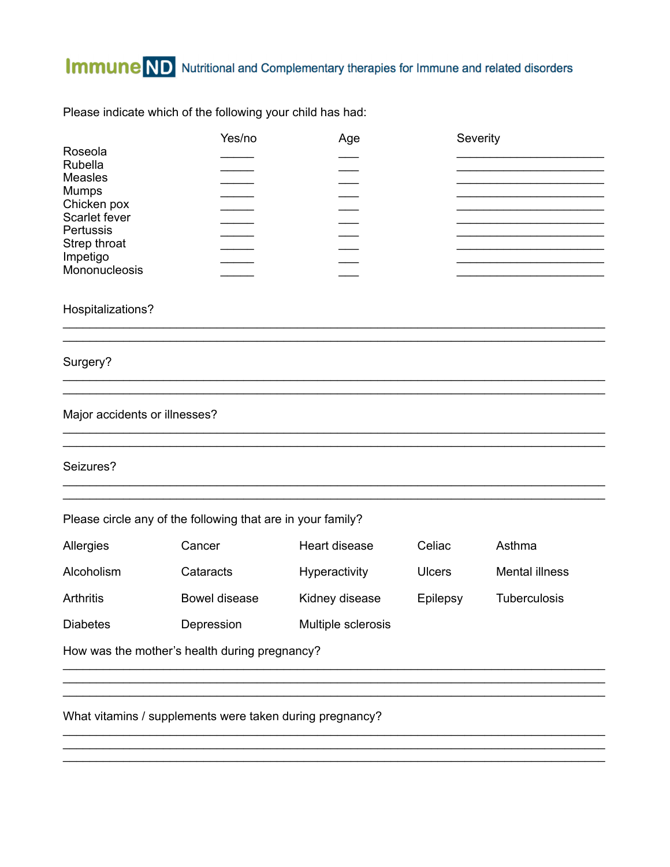Please indicate which of the following your child has had:

|                            | Yes/no | Age | Severity |  |
|----------------------------|--------|-----|----------|--|
| Roseola                    |        |     |          |  |
| Rubella                    |        |     |          |  |
| <b>Measles</b>             |        |     |          |  |
| Mumps                      |        |     |          |  |
| Chicken pox                |        |     |          |  |
| Scarlet fever<br>Pertussis |        |     |          |  |
| Strep throat               |        |     |          |  |
| Impetigo                   |        |     |          |  |
| Mononucleosis              |        |     |          |  |
|                            |        |     |          |  |

Hospitalizations?

Surgery?

Major accidents or illnesses?

Seizures?

Please circle any of the following that are in your family?

| Allergies       | Cancer        | Heart disease      | Celiac        | Asthma              |
|-----------------|---------------|--------------------|---------------|---------------------|
| Alcoholism      | Cataracts     | Hyperactivity      | <b>Ulcers</b> | Mental illness      |
| Arthritis       | Bowel disease | Kidney disease     | Epilepsy      | <b>Tuberculosis</b> |
| <b>Diabetes</b> | Depression    | Multiple sclerosis |               |                     |

How was the mother's health during pregnancy?

What vitamins / supplements were taken during pregnancy?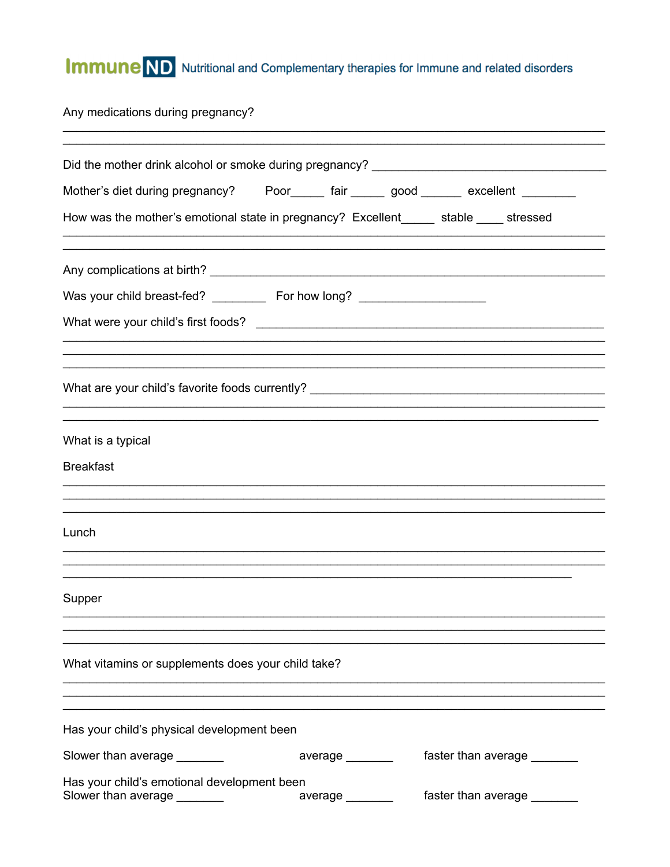## **Immune** ND Nutritional and Complementary therapies for Immune and related disorders

Any medications during pregnancy?

| Did the mother drink alcohol or smoke during pregnancy? ________________________       |                 |                             |
|----------------------------------------------------------------------------------------|-----------------|-----------------------------|
|                                                                                        |                 |                             |
| How was the mother's emotional state in pregnancy? Excellent_____ stable ____ stressed |                 |                             |
|                                                                                        |                 |                             |
| Was your child breast-fed? _____________ For how long? _________________________       |                 |                             |
|                                                                                        |                 |                             |
|                                                                                        |                 |                             |
|                                                                                        |                 |                             |
| What are your child's favorite foods currently? ________________________________       |                 |                             |
| What is a typical                                                                      |                 |                             |
| <b>Breakfast</b>                                                                       |                 |                             |
|                                                                                        |                 |                             |
| Lunch                                                                                  |                 |                             |
|                                                                                        |                 |                             |
| Supper                                                                                 |                 |                             |
|                                                                                        |                 |                             |
| What vitamins or supplements does your child take?                                     |                 |                             |
|                                                                                        |                 |                             |
| Has your child's physical development been                                             |                 |                             |
| Slower than average _______                                                            | average _______ | faster than average _______ |
| Has your child's emotional development been<br>Slower than average ________            |                 | faster than average _______ |
|                                                                                        | average         |                             |